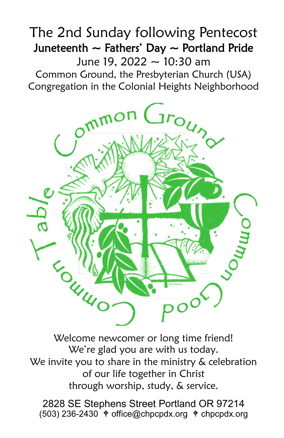# The 2nd Sunday following Pentecost Juneteenth  $\sim$  Fathers' Day  $\sim$  Portland Pride June 19, 2022 ~ 10:30 am

Common Ground, the Presbyterian Church (USA) Congregation in the Colonial Heights Neighborhood



Welcome newcomer or long time friend! We're glad you are with us today. We invite you to share in the ministry & celebration of our life together in Christ through worship, study, & service.

2828 SE Stephens Street Portland OR 97214  $(503)$  236-2430  $\text{\textdegree}$  office@chpcpdx.org  $\text{\textdegree}$  chpcpdx.org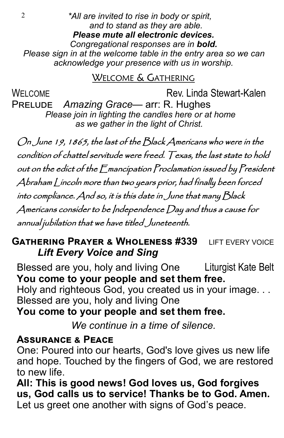2 *\*All are invited to rise in body or spirit, and to stand as they are able. Please mute all electronic devices. Congregational responses are in bold. Please sign in at the welcome table in the entry area so we can acknowledge your presence with us in worship.*

## WELCOME & GATHERING

WFI COME **Rev. Linda Stewart-Kalen** 

Prelude *Amazing Grace*— arr: R. Hughes  *Please join in lighting the candles here or at home as we gather in the light of Christ.*

On June 19, 1865, the last of the Black Americans who were in the condition of chattel servitude were freed. Texas, the last state to hold out on the edict of the Emancipation Proclamation issued by President Abraham Lincoln more than two years prior, had finally been forced into compliance. And so, it is this date in June that many Black Americans consider to be Independence Day and thus a cause for annual jubilation that we have titled Juneteenth.

## **GATHERING PRAYER & WHOLENESS #339 LIFT EVERY VOICE** *Lift Every Voice and Sing*

Blessed are you, holy and living One Liturgist Kate Belt **You come to your people and set them free.**

Holy and righteous God, you created us in your image. . . Blessed are you, holy and living One

## **You come to your people and set them free.**

*We continue in a time of silence.*

## **Assurance & Peace**

One: Poured into our hearts, God's love gives us new life and hope. Touched by the fingers of God, we are restored to new life.

**All: This is good news! God loves us, God forgives us, God calls us to service! Thanks be to God. Amen.** Let us greet one another with signs of God's peace.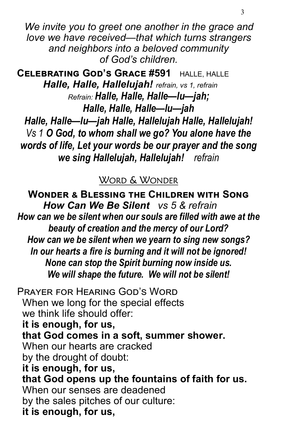*We invite you to greet one another in the grace and love we have received—that which turns strangers and neighbors into a beloved community of God's children.*

**Celebrating God's Grace #591** HALLE, HALLE *Halle, Halle, Hallelujah! refrain, vs 1, refrain Refrain: Halle, Halle, Halle—lu—jah; Halle, Halle, Halle—lu—jah Halle, Halle—lu—jah Halle, Hallelujah Halle, Hallelujah! Vs 1 O God, to whom shall we go? You alone have the words of life, Let your words be our prayer and the song we sing Hallelujah, Hallelujah! refrain*

#### WORD & WONDER

**Wonder & Blessing the Children with Song**  *How Can We Be Silent vs 5 & refrain How can we be silent when our souls are filled with awe at the beauty of creation and the mercy of our Lord? How can we be silent when we yearn to sing new songs? In our hearts a fire is burning and it will not be ignored! None can stop the Spirit burning now inside us. We will shape the future. We will not be silent!*

Prayer for Hearing God's Word When we long for the special effects we think life should offer: **it is enough, for us, that God comes in a soft, summer shower.** When our hearts are cracked by the drought of doubt: **it is enough, for us, that God opens up the fountains of faith for us.** When our senses are deadened by the sales pitches of our culture: **it is enough, for us,**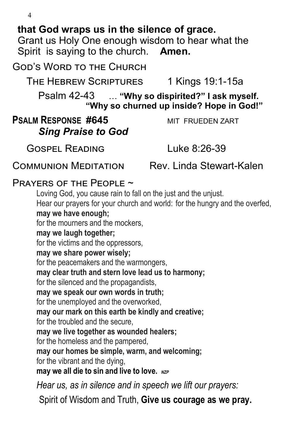4

## **that God wraps us in the silence of grace.**

Grant us Holy One enough wisdom to hear what the Spirit is saying to the church. **Amen.** 

GOD'S WORD TO THE CHURCH

THE HEBREW SCRIPTURES 1 Kings 19:1-15a

Psalm 42-43 … **"Why so dispirited?" I ask myself. "Why so churned up inside? Hope in God!"**

## **PSALM RESPONSE #645** MIT FRUEDEN ZART *Sing Praise to God*

GOSPEL READING

Luke 8:26-39

Communion Meditation Rev. Linda Stewart-Kalen

#### Prayers of the People ~

Loving God, you cause rain to fall on the just and the unjust. Hear our prayers for your church and world: for the hungry and the overfed, **may we have enough;** for the mourners and the mockers, **may we laugh together;** for the victims and the oppressors, **may we share power wisely;** for the peacemakers and the warmongers, **may clear truth and stern love lead us to harmony;** for the silenced and the propagandists, **may we speak our own words in truth;** for the unemployed and the overworked, **may our mark on this earth be kindly and creative;** for the troubled and the secure, **may we live together as wounded healers;** for the homeless and the pampered, **may our homes be simple, warm, and welcoming;** for the vibrant and the dying, **may we all die to sin and live to love.** *NZP*

*Hear us, as in silence and in speech we lift our prayers:*

Spirit of Wisdom and Truth, **Give us courage as we pray.**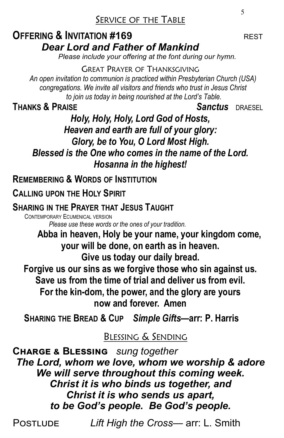## SERVICE OF THE TABLE

## **OFFERING & INVITATION #169** REST *Dear Lord and Father of Mankind*

 *Please include your offering at the font during our hymn.*

GREAT PRAYER OF THANKSGIVING

*An open invitation to communion is practiced within Presbyterian Church (USA) congregations. We invite all visitors and friends who trust in Jesus Christ to join us today in being nourished at the Lord's Table.* 

**THANKS & PRAISE** *Sanctus* DRAESEL

## *Holy, Holy, Holy, Lord God of Hosts, Heaven and earth are full of your glory: Glory, be to You, O Lord Most High. Blessed is the One who comes in the name of the Lord. Hosanna in the highest!*

**REMEMBERING & WORDS OF INSTITUTION**

**CALLING UPON THE HOLY SPIRIT**

### **SHARING IN THE PRAYER THAT JESUS TAUGHT**

 CONTEMPORARY ECUMENICAL VERSION  *Please use these words or the ones of your tradition.*

 **Abba in heaven, Holy be your name, your kingdom come, your will be done, on earth as in heaven.**

**Give us today our daily bread.** 

**Forgive us our sins as we forgive those who sin against us.** 

**Save us from the time of trial and deliver us from evil.** 

**For the kin-dom, the power, and the glory are yours now and forever. Amen** 

**SHARING THE BREAD & CUP** *Simple Gifts***—arr: P. Harris**

## BLESSING & SENDING

**Charge & Blessing** *sung together The Lord, whom we love, whom we worship & adore We will serve throughout this coming week. Christ it is who binds us together, and Christ it is who sends us apart, to be God's people. Be God's people.*

Postlude *Lift High the Cross*— arr: L. Smith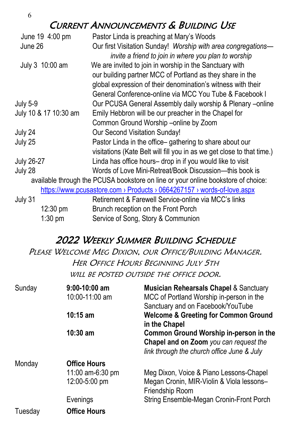#### 6

## CURRENT ANNOUNCEMENTS & BUILDING USE

| June 19 4:00 pm                                                                   | Pastor Linda is preaching at Mary's Woods                               |  |  |
|-----------------------------------------------------------------------------------|-------------------------------------------------------------------------|--|--|
| June 26                                                                           | Our first Visitation Sunday! Worship with area congregations—           |  |  |
|                                                                                   | invite a friend to join in where you plan to worship                    |  |  |
| July 3 10:00 am                                                                   | We are invited to join in worship in the Sanctuary with                 |  |  |
|                                                                                   | our building partner MCC of Portland as they share in the               |  |  |
|                                                                                   | global expression of their denomination's witness with their            |  |  |
|                                                                                   | General Conference-online via MCC You Tube & Facebook I                 |  |  |
| <b>July 5-9</b>                                                                   | Our PCUSA General Assembly daily worship & Plenary -online              |  |  |
| July 10 & 17 10:30 am                                                             | Emily Hebbron will be our preacher in the Chapel for                    |  |  |
|                                                                                   | Common Ground Worship -online by Zoom                                   |  |  |
| July 24                                                                           | Our Second Visitation Sunday!                                           |  |  |
| July 25                                                                           | Pastor Linda in the office-gathering to share about our                 |  |  |
|                                                                                   | visitations (Kate Belt will fill you in as we get close to that time.)  |  |  |
| <b>July 26-27</b>                                                                 | Linda has office hours- drop in if you would like to visit              |  |  |
| July 28                                                                           | Words of Love Mini-Retreat/Book Discussion--this book is                |  |  |
| available through the PCUSA bookstore on line or your online bookstore of choice: |                                                                         |  |  |
|                                                                                   | https://www.pcusastore.com > Products > 0664267157 > words-of-love.aspx |  |  |
| July 31                                                                           | Retirement & Farewell Service-online via MCC's links                    |  |  |
| $12:30 \text{ pm}$                                                                | Brunch reception on the Front Porch                                     |  |  |
| $1:30$ pm                                                                         | Service of Song, Story & Communion                                      |  |  |

### 2022 WEEKLY SUMMER BUILDING SCHEDULE

PLEASE WELCOME MEG DIXION, OUR OFFICE/BUILDING MANAGER. HER OFFICE HOURS BEGINNING JULY 5TH WILL BE POSTED OUTSIDE THE OFFICE DOOR.

| Sunday  | $9:00-10:00$ am<br>10:00-11:00 am                                    | <b>Musician Rehearsals Chapel &amp; Sanctuary</b><br>MCC of Portland Worship in-person in the<br>Sanctuary and on Facebook/YouTube                  |
|---------|----------------------------------------------------------------------|-----------------------------------------------------------------------------------------------------------------------------------------------------|
|         | $10:15$ am                                                           | <b>Welcome &amp; Greeting for Common Ground</b><br>in the Chapel                                                                                    |
|         | $10:30$ am                                                           | <b>Common Ground Worship in-person in the</b><br>Chapel and on Zoom you can request the<br>link through the church office June & July               |
| Monday  | <b>Office Hours</b><br>11:00 am-6:30 pm<br>12:00-5:00 pm<br>Evenings | Meg Dixon, Voice & Piano Lessons-Chapel<br>Megan Cronin, MIR-Violin & Viola lessons-<br>Friendship Room<br>String Ensemble-Megan Cronin-Front Porch |
| Tuesday | <b>Office Hours</b>                                                  |                                                                                                                                                     |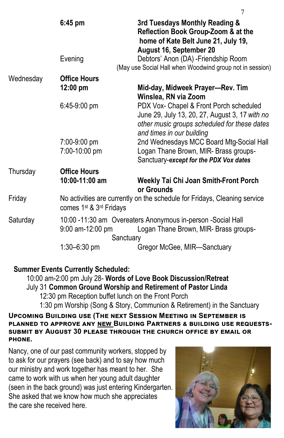|           | $6:45$ pm                                                                                                                    | 3rd Tuesdays Monthly Reading &<br>Reflection Book Group-Zoom & at the<br>home of Kate Belt June 21, July 19,<br>August 16, September 20                                |
|-----------|------------------------------------------------------------------------------------------------------------------------------|------------------------------------------------------------------------------------------------------------------------------------------------------------------------|
|           | Evening                                                                                                                      | Debtors' Anon (DA) - Friendship Room<br>(May use Social Hall when Woodwind group not in session)                                                                       |
| Wednesday | <b>Office Hours</b>                                                                                                          |                                                                                                                                                                        |
|           | $12:00 \text{ pm}$                                                                                                           | Mid-day, Midweek Prayer-Rev. Tim<br>Winslea, RN via Zoom                                                                                                               |
|           | 6:45-9:00 pm                                                                                                                 | PDX Vox- Chapel & Front Porch scheduled<br>June 29, July 13, 20, 27, August 3, 17 with no<br>other music groups scheduled for these dates<br>and times in our building |
|           | 7:00-9:00 pm<br>7:00-10:00 pm                                                                                                | 2nd Wednesdays MCC Board Mtg-Social Hall<br>Logan Thane Brown, MIR- Brass groups-<br>Sanctuary-except for the PDX Vox dates                                            |
| Thursday  | <b>Office Hours</b><br>10:00-11:00 am                                                                                        | <b>Weekly Tai Chi Joan Smith-Front Porch</b><br>or Grounds                                                                                                             |
| Friday    | No activities are currently on the schedule for Fridays, Cleaning service<br>comes 1 <sup>st</sup> & 3 <sup>rd</sup> Fridays |                                                                                                                                                                        |
| Saturday  | 9:00 am-12:00 pm<br>Sanctuary                                                                                                | 10:00 -11:30 am Overeaters Anonymous in-person -Social Hall<br>Logan Thane Brown, MIR- Brass groups-                                                                   |
|           | $1:30 - 6:30$ pm                                                                                                             | Gregor McGee, MIR-Sanctuary                                                                                                                                            |

**Summer Events Currently Scheduled:**

10:00 am-2:00 pm July 28- **Words of Love Book Discussion/Retreat** July 31 **Common Ground Worship and Retirement of Pastor Linda** 12:30 pm Reception buffet lunch on the Front Porch 1:30 pm Worship (Song & Story, Communion & Retirement) in the Sanctuary

#### **Upcoming Building use (The next Session Meeting in September is planned to approve any new Building Partners & building use requestssubmit by August 30 please through the church office by email or phone.**

Nancy, one of our past community workers, stopped by to ask for our prayers (see back) and to say how much our ministry and work together has meant to her. She came to work with us when her young adult daughter (seen in the back ground) was just entering Kindergarten. She asked that we know how much she appreciates the care she received here.



7